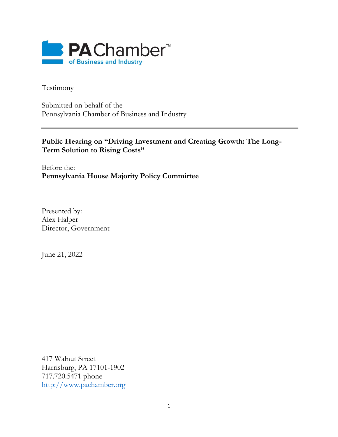

Testimony

Submitted on behalf of the Pennsylvania Chamber of Business and Industry

## **Public Hearing on "Driving Investment and Creating Growth: The Long-Term Solution to Rising Costs"**

Before the: **Pennsylvania House Majority Policy Committee**

Presented by: Alex Halper Director, Government

June 21, 2022

417 Walnut Street Harrisburg, PA 17101-1902 717.720.5471 phone [http://www.pachamber.org](http://www.pachamber.org/)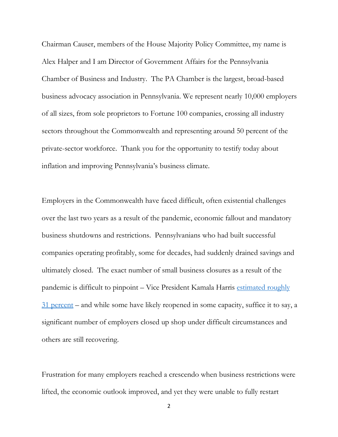Chairman Causer, members of the House Majority Policy Committee, my name is Alex Halper and I am Director of Government Affairs for the Pennsylvania Chamber of Business and Industry. The PA Chamber is the largest, broad-based business advocacy association in Pennsylvania. We represent nearly 10,000 employers of all sizes, from sole proprietors to Fortune 100 companies, crossing all industry sectors throughout the Commonwealth and representing around 50 percent of the private-sector workforce. Thank you for the opportunity to testify today about inflation and improving Pennsylvania's business climate.

Employers in the Commonwealth have faced difficult, often existential challenges over the last two years as a result of the pandemic, economic fallout and mandatory business shutdowns and restrictions. Pennsylvanians who had built successful companies operating profitably, some for decades, had suddenly drained savings and ultimately closed. The exact number of small business closures as a result of the pandemic is difficult to pinpoint – Vice President Kamala Harris [estimated roughly](https://www.kpbs.org/news/midday-edition/2021/06/04/fact-checking-vice-president-kamala-harris)  [31 percent](https://www.kpbs.org/news/midday-edition/2021/06/04/fact-checking-vice-president-kamala-harris) – and while some have likely reopened in some capacity, suffice it to say, a significant number of employers closed up shop under difficult circumstances and others are still recovering.

Frustration for many employers reached a crescendo when business restrictions were lifted, the economic outlook improved, and yet they were unable to fully restart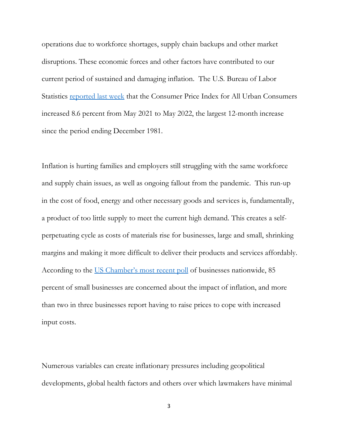operations due to workforce shortages, supply chain backups and other market disruptions. These economic forces and other factors have contributed to our current period of sustained and damaging inflation. The U.S. Bureau of Labor Statistics **[reported last week](https://www.bls.gov/opub/ted/2022/consumer-prices-up-8-6-percent-over-year-ended-may-2022.htm)** that the Consumer Price Index for All Urban Consumers increased 8.6 percent from May 2021 to May 2022, the largest 12-month increase since the period ending December 1981.

Inflation is hurting families and employers still struggling with the same workforce and supply chain issues, as well as ongoing fallout from the pandemic. This run-up in the cost of food, energy and other necessary goods and services is, fundamentally, a product of too little supply to meet the current high demand. This creates a selfperpetuating cycle as costs of materials rise for businesses, large and small, shrinking margins and making it more difficult to deliver their products and services affordably. According to the [US Chamber's most recent poll](https://www.uschamber.com/economy/combating-inflation-making-the-case-that-businesses-are-not-to-blame-for-inflation) of businesses nationwide, 85 percent of small businesses are concerned about the impact of inflation, and more than two in three businesses report having to raise prices to cope with increased input costs.

Numerous variables can create inflationary pressures including geopolitical developments, global health factors and others over which lawmakers have minimal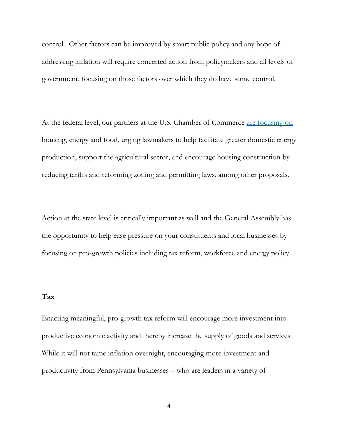control. Other factors can be improved by smart public policy and any hope of addressing inflation will require concerted action from policymakers and all levels of government, focusing on those factors over which they do have some control.

At the federal level, our partners at the U.S. Chamber of Commerce [are focusing on](file:///C:/Users/ahalper/AppData/Local/Microsoft/Windows/INetCache/Content.Outlook/8KTV2YHD/Hey%20Beth,%20not%20sure%20if%20I%20got%20this%20quite%20right%20but%20heard%20labor%20pitched%20adding) housing, energy and food, urging lawmakers to help facilitate greater domestic energy production, support the agricultural sector, and encourage housing construction by reducing tariffs and reforming zoning and permitting laws, among other proposals.

Action at the state level is critically important as well and the General Assembly has the opportunity to help ease pressure on your constituents and local businesses by focusing on pro-growth policies including tax reform, workforce and energy policy.

## **Tax**

Enacting meaningful, pro-growth tax reform will encourage more investment into productive economic activity and thereby increase the supply of goods and services. While it will not tame inflation overnight, encouraging more investment and productivity from Pennsylvania businesses – who are leaders in a variety of

4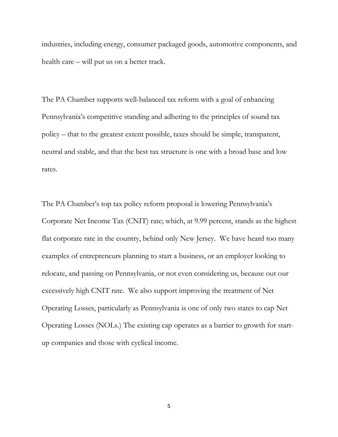industries, including energy, consumer packaged goods, automotive components, and health care – will put us on a better track.

The PA Chamber supports well-balanced tax reform with a goal of enhancing Pennsylvania's competitive standing and adhering to the principles of sound tax policy – that to the greatest extent possible, taxes should be simple, transparent, neutral and stable, and that the best tax structure is one with a broad base and low rates.

The PA Chamber's top tax policy reform proposal is lowering Pennsylvania's Corporate Net Income Tax (CNIT) rate; which, at 9.99 percent, stands as the highest flat corporate rate in the country, behind only New Jersey. We have heard too many examples of entrepreneurs planning to start a business, or an employer looking to relocate, and passing on Pennsylvania, or not even considering us, because out our excessively high CNIT rate. We also support improving the treatment of Net Operating Losses, particularly as Pennsylvania is one of only two states to cap Net Operating Losses (NOLs.) The existing cap operates as a barrier to growth for startup companies and those with cyclical income.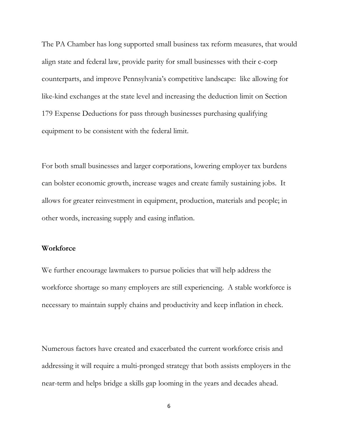The PA Chamber has long supported small business tax reform measures, that would align state and federal law, provide parity for small businesses with their c-corp counterparts, and improve Pennsylvania's competitive landscape: like allowing for like-kind exchanges at the state level and increasing the deduction limit on Section 179 Expense Deductions for pass through businesses purchasing qualifying equipment to be consistent with the federal limit.

For both small businesses and larger corporations, lowering employer tax burdens can bolster economic growth, increase wages and create family sustaining jobs. It allows for greater reinvestment in equipment, production, materials and people; in other words, increasing supply and easing inflation.

## **Workforce**

We further encourage lawmakers to pursue policies that will help address the workforce shortage so many employers are still experiencing. A stable workforce is necessary to maintain supply chains and productivity and keep inflation in check.

Numerous factors have created and exacerbated the current workforce crisis and addressing it will require a multi-pronged strategy that both assists employers in the near-term and helps bridge a skills gap looming in the years and decades ahead.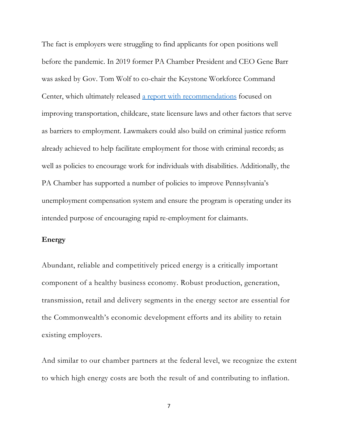The fact is employers were struggling to find applicants for open positions well before the pandemic. In 2019 former PA Chamber President and CEO Gene Barr was asked by Gov. Tom Wolf to co-chair the Keystone Workforce Command Center, which ultimately released [a report with recommendations](https://www.governor.pa.gov/wp-content/uploads/2020/01/20200127-Workforce-Command-Center-Annual-Report.pdf) focused on improving transportation, childcare, state licensure laws and other factors that serve as barriers to employment. Lawmakers could also build on criminal justice reform already achieved to help facilitate employment for those with criminal records; as well as policies to encourage work for individuals with disabilities. Additionally, the PA Chamber has supported a number of policies to improve Pennsylvania's unemployment compensation system and ensure the program is operating under its intended purpose of encouraging rapid re-employment for claimants.

## **Energy**

Abundant, reliable and competitively priced energy is a critically important component of a healthy business economy. Robust production, generation, transmission, retail and delivery segments in the energy sector are essential for the Commonwealth's economic development efforts and its ability to retain existing employers.

And similar to our chamber partners at the federal level, we recognize the extent to which high energy costs are both the result of and contributing to inflation.

7